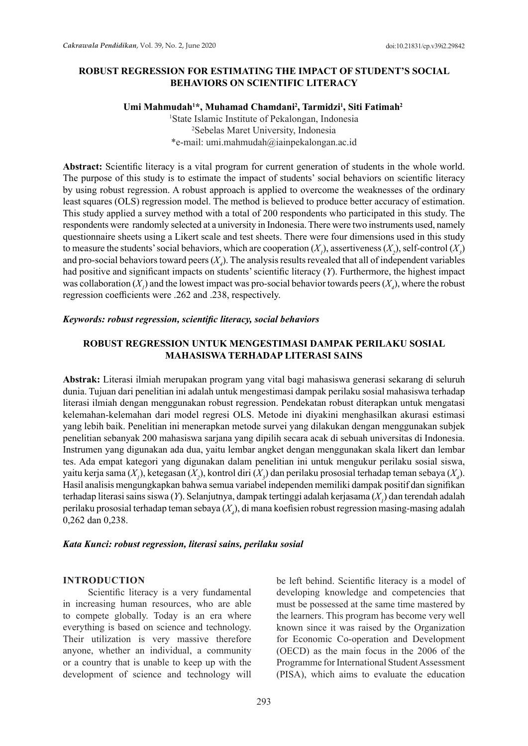### **ROBUST REGRESSION FOR ESTIMATING THE IMPACT OF STUDENT'S SOCIAL BEHAVIORS ON SCIENTIFIC LITERACY**

### **Umi Mahmudah1 \*, Muhamad Chamdani2 , Tarmidzi<sup>1</sup> , Siti Fatimah2**

<sup>1</sup>State Islamic Institute of Pekalongan, Indonesia 2 Sebelas Maret University, Indonesia \*e-mail: umi.mahmudah@iainpekalongan.ac.id

**Abstract:** Scientific literacy is a vital program for current generation of students in the whole world. The purpose of this study is to estimate the impact of students' social behaviors on scientific literacy by using robust regression. A robust approach is applied to overcome the weaknesses of the ordinary least squares (OLS) regression model. The method is believed to produce better accuracy of estimation. This study applied a survey method with a total of 200 respondents who participated in this study. The respondents were randomly selected at a university in Indonesia. There were two instruments used, namely questionnaire sheets using a Likert scale and test sheets. There were four dimensions used in this study to measure the students' social behaviors, which are cooperation  $(X_1)$ , assertiveness  $(X_2)$ , self-control  $(X_3)$ and pro-social behaviors toward peers  $(X_{\mu})$ . The analysis results revealed that all of independent variables had positive and significant impacts on students' scientific literacy (*Y*). Furthermore, the highest impact was collaboration  $(X_i)$  and the lowest impact was pro-social behavior towards peers  $(X_i)$ , where the robust regression coefficients were .262 and .238, respectively.

#### *Keywords: robust regression, scientific literacy, social behaviors*

# **ROBUST REGRESSION UNTUK MENGESTIMASI DAMPAK PERILAKU SOSIAL MAHASISWA TERHADAP LITERASI SAINS**

**Abstrak:** Literasi ilmiah merupakan program yang vital bagi mahasiswa generasi sekarang di seluruh dunia. Tujuan dari penelitian ini adalah untuk mengestimasi dampak perilaku sosial mahasiswa terhadap literasi ilmiah dengan menggunakan robust regression. Pendekatan robust diterapkan untuk mengatasi kelemahan-kelemahan dari model regresi OLS. Metode ini diyakini menghasilkan akurasi estimasi yang lebih baik. Penelitian ini menerapkan metode survei yang dilakukan dengan menggunakan subjek penelitian sebanyak 200 mahasiswa sarjana yang dipilih secara acak di sebuah universitas di Indonesia. Instrumen yang digunakan ada dua, yaitu lembar angket dengan menggunakan skala likert dan lembar tes. Ada empat kategori yang digunakan dalam penelitian ini untuk mengukur perilaku sosial siswa, yaitu kerja sama (*X<sub>1</sub>), ketegasan (X<sub>2</sub>), kontrol diri (X<sub>3</sub>) dan perilaku prososial terhadap teman sebaya (<i>X<sub>4</sub>).* Hasil analisis mengungkapkan bahwa semua variabel independen memiliki dampak positif dan signifikan terhadap literasi sains siswa (*Y*). Selanjutnya, dampak tertinggi adalah kerjasama (*X1* ) dan terendah adalah perilaku prososial terhadap teman sebaya (*X4* ), di mana koefisien robust regression masing-masing adalah 0,262 dan 0,238.

#### *Kata Kunci: robust regression, literasi sains, perilaku sosial*

#### **INTRODUCTION**

Scientific literacy is a very fundamental in increasing human resources, who are able to compete globally. Today is an era where everything is based on science and technology. Their utilization is very massive therefore anyone, whether an individual, a community or a country that is unable to keep up with the development of science and technology will be left behind. Scientific literacy is a model of developing knowledge and competencies that must be possessed at the same time mastered by the learners. This program has become very well known since it was raised by the Organization for Economic Co-operation and Development (OECD) as the main focus in the 2006 of the Programme for International Student Assessment (PISA), which aims to evaluate the education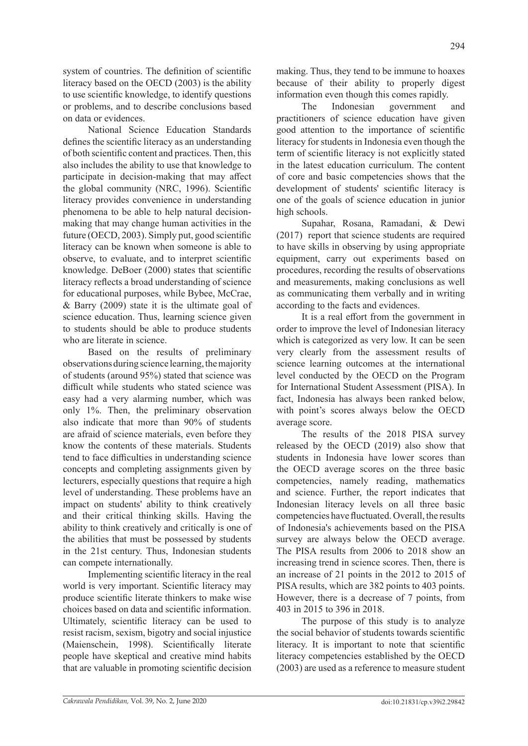system of countries. The definition of scientific literacy based on the OECD (2003) is the ability to use scientific knowledge, to identify questions or problems, and to describe conclusions based on data or evidences.

National Science Education Standards defines the scientific literacy as an understanding of both scientific content and practices. Then, this also includes the ability to use that knowledge to participate in decision-making that may affect the global community (NRC, 1996). Scientific literacy provides convenience in understanding phenomena to be able to help natural decisionmaking that may change human activities in the future (OECD, 2003). Simply put, good scientific literacy can be known when someone is able to observe, to evaluate, and to interpret scientific knowledge. DeBoer (2000) states that scientific literacy reflects a broad understanding of science for educational purposes, while Bybee, McCrae, & Barry (2009) state it is the ultimate goal of science education. Thus, learning science given to students should be able to produce students who are literate in science.

Based on the results of preliminary observations during science learning, the majority of students (around 95%) stated that science was difficult while students who stated science was easy had a very alarming number, which was only 1%. Then, the preliminary observation also indicate that more than 90% of students are afraid of science materials, even before they know the contents of these materials. Students tend to face difficulties in understanding science concepts and completing assignments given by lecturers, especially questions that require a high level of understanding. These problems have an impact on students' ability to think creatively and their critical thinking skills. Having the ability to think creatively and critically is one of the abilities that must be possessed by students in the 21st century. Thus, Indonesian students can compete internationally.

Implementing scientific literacy in the real world is very important. Scientific literacy may produce scientific literate thinkers to make wise choices based on data and scientific information. Ultimately, scientific literacy can be used to resist racism, sexism, bigotry and social injustice (Maienschein, 1998). Scientifically literate people have skeptical and creative mind habits that are valuable in promoting scientific decision

making. Thus, they tend to be immune to hoaxes because of their ability to properly digest information even though this comes rapidly.

The Indonesian government and practitioners of science education have given good attention to the importance of scientific literacy for students in Indonesia even though the term of scientific literacy is not explicitly stated in the latest education curriculum. The content of core and basic competencies shows that the development of students' scientific literacy is one of the goals of science education in junior high schools.

Supahar, Rosana, Ramadani, & Dewi (2017) report that science students are required to have skills in observing by using appropriate equipment, carry out experiments based on procedures, recording the results of observations and measurements, making conclusions as well as communicating them verbally and in writing according to the facts and evidences.

It is a real effort from the government in order to improve the level of Indonesian literacy which is categorized as very low. It can be seen very clearly from the assessment results of science learning outcomes at the international level conducted by the OECD on the Program for International Student Assessment (PISA). In fact, Indonesia has always been ranked below, with point's scores always below the OECD average score.

The results of the 2018 PISA survey released by the OECD (2019) also show that students in Indonesia have lower scores than the OECD average scores on the three basic competencies, namely reading, mathematics and science. Further, the report indicates that Indonesian literacy levels on all three basic competencies have fluctuated. Overall, the results of Indonesia's achievements based on the PISA survey are always below the OECD average. The PISA results from 2006 to 2018 show an increasing trend in science scores. Then, there is an increase of 21 points in the 2012 to 2015 of PISA results, which are 382 points to 403 points. However, there is a decrease of 7 points, from 403 in 2015 to 396 in 2018.

The purpose of this study is to analyze the social behavior of students towards scientific literacy. It is important to note that scientific literacy competencies established by the OECD (2003) are used as a reference to measure student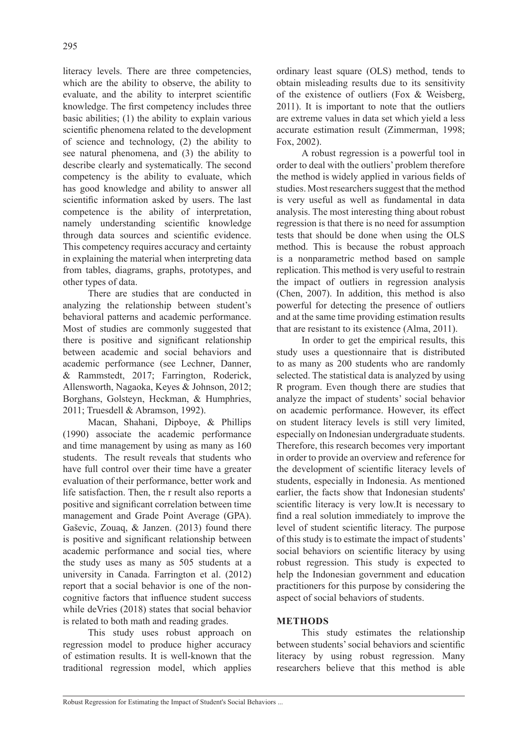literacy levels. There are three competencies, which are the ability to observe, the ability to evaluate, and the ability to interpret scientific knowledge. The first competency includes three basic abilities; (1) the ability to explain various scientific phenomena related to the development of science and technology, (2) the ability to see natural phenomena, and (3) the ability to describe clearly and systematically. The second competency is the ability to evaluate, which has good knowledge and ability to answer all scientific information asked by users. The last competence is the ability of interpretation, namely understanding scientific knowledge through data sources and scientific evidence. This competency requires accuracy and certainty in explaining the material when interpreting data from tables, diagrams, graphs, prototypes, and other types of data.

There are studies that are conducted in analyzing the relationship between student's behavioral patterns and academic performance. Most of studies are commonly suggested that there is positive and significant relationship between academic and social behaviors and academic performance (see Lechner, Danner, & Rammstedt, 2017; Farrington, Roderick, Allensworth, Nagaoka, Keyes & Johnson, 2012; Borghans, Golsteyn, Heckman, & Humphries, 2011; Truesdell & Abramson, 1992).

Macan, Shahani, Dipboye, & Phillips (1990) associate the academic performance and time management by using as many as 160 students. The result reveals that students who have full control over their time have a greater evaluation of their performance, better work and life satisfaction. Then, the r result also reports a positive and significant correlation between time management and Grade Point Average (GPA). Gaševic, Zouaq, & Janzen. (2013) found there is positive and significant relationship between academic performance and social ties, where the study uses as many as 505 students at a university in Canada. Farrington et al. (2012) report that a social behavior is one of the noncognitive factors that influence student success while deVries (2018) states that social behavior is related to both math and reading grades.

This study uses robust approach on regression model to produce higher accuracy of estimation results. It is well-known that the traditional regression model, which applies

ordinary least square (OLS) method, tends to obtain misleading results due to its sensitivity of the existence of outliers (Fox & Weisberg, 2011). It is important to note that the outliers are extreme values in data set which yield a less accurate estimation result (Zimmerman, 1998; Fox, 2002).

A robust regression is a powerful tool in order to deal with the outliers' problem therefore the method is widely applied in various fields of studies. Most researchers suggest that the method is very useful as well as fundamental in data analysis. The most interesting thing about robust regression is that there is no need for assumption tests that should be done when using the OLS method. This is because the robust approach is a nonparametric method based on sample replication. This method is very useful to restrain the impact of outliers in regression analysis (Chen, 2007). In addition, this method is also powerful for detecting the presence of outliers and at the same time providing estimation results that are resistant to its existence (Alma, 2011).

In order to get the empirical results, this study uses a questionnaire that is distributed to as many as 200 students who are randomly selected. The statistical data is analyzed by using R program. Even though there are studies that analyze the impact of students' social behavior on academic performance. However, its effect on student literacy levels is still very limited, especially on Indonesian undergraduate students. Therefore, this research becomes very important in order to provide an overview and reference for the development of scientific literacy levels of students, especially in Indonesia. As mentioned earlier, the facts show that Indonesian students' scientific literacy is very low.It is necessary to find a real solution immediately to improve the level of student scientific literacy. The purpose of this study is to estimate the impact of students' social behaviors on scientific literacy by using robust regression. This study is expected to help the Indonesian government and education practitioners for this purpose by considering the aspect of social behaviors of students.

### **METHODS**

This study estimates the relationship between students' social behaviors and scientific literacy by using robust regression. Many researchers believe that this method is able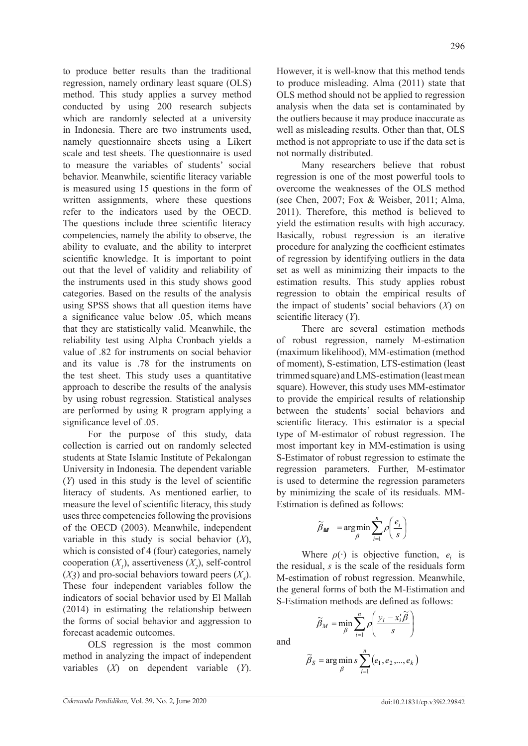to produce better results than the traditional regression, namely ordinary least square (OLS) method. This study applies a survey method conducted by using 200 research subjects which are randomly selected at a university in Indonesia. There are two instruments used, namely questionnaire sheets using a Likert scale and test sheets. The questionnaire is used to measure the variables of students' social behavior. Meanwhile, scientific literacy variable is measured using 15 questions in the form of written assignments, where these questions refer to the indicators used by the OECD. The questions include three scientific literacy competencies, namely the ability to observe, the ability to evaluate, and the ability to interpret scientific knowledge. It is important to point out that the level of validity and reliability of the instruments used in this study shows good categories. Based on the results of the analysis using SPSS shows that all question items have a significance value below .05, which means that they are statistically valid. Meanwhile, the reliability test using Alpha Cronbach yields a value of .82 for instruments on social behavior and its value is .78 for the instruments on the test sheet. This study uses a quantitative approach to describe the results of the analysis by using robust regression. Statistical analyses are performed by using R program applying a significance level of .05.

For the purpose of this study, data collection is carried out on randomly selected students at State Islamic Institute of Pekalongan University in Indonesia. The dependent variable (*Y*) used in this study is the level of scientific literacy of students. As mentioned earlier, to measure the level of scientific literacy, this study uses three competencies following the provisions of the OECD (2003). Meanwhile, independent variable in this study is social behavior (*X*), which is consisted of 4 (four) categories, namely cooperation  $(X_1)$ , assertiveness  $(X_2)$ , self-control  $(X_3)$  and pro-social behaviors toward peers  $(X_4)$ . These four independent variables follow the indicators of social behavior used by El Mallah (2014) in estimating the relationship between the forms of social behavior and aggression to forecast academic outcomes.

OLS regression is the most common method in analyzing the impact of independent variables (*X*) on dependent variable (*Y*).

However, it is well-know that this method tends to produce misleading. Alma (2011) state that OLS method should not be applied to regression analysis when the data set is contaminated by the outliers because it may produce inaccurate as well as misleading results. Other than that, OLS method is not appropriate to use if the data set is not normally distributed.

Many researchers believe that robust regression is one of the most powerful tools to overcome the weaknesses of the OLS method (see Chen, 2007; Fox & Weisber, 2011; Alma, 2011). Therefore, this method is believed to yield the estimation results with high accuracy. Basically, robust regression is an iterative procedure for analyzing the coefficient estimates of regression by identifying outliers in the data set as well as minimizing their impacts to the estimation results. This study applies robust regression to obtain the empirical results of the impact of students' social behaviors (*X*) on scientific literacy (*Y*).

There are several estimation methods of robust regression, namely M-estimation (maximum likelihood), MM-estimation (method of moment), S-estimation, LTS-estimation (least trimmed square) and LMS-estimation (least mean square). However, this study uses MM-estimator to provide the empirical results of relationship between the students' social behaviors and scientific literacy. This estimator is a special type of M-estimator of robust regression. The most important key in MM-estimation is using S-Estimator of robust regression to estimate the regression parameters. Further, M-estimator is used to determine the regression parameters by minimizing the scale of its residuals. MM-Estimation is defined as follows:

$$
\widetilde{\beta}_M = \underset{\beta}{\arg\min} \sum_{i=1}^n \rho \left( \frac{e_i}{s} \right)
$$

Where  $\rho(\cdot)$  is objective function,  $e_i$  is the residual, *s* is the scale of the residuals form M-estimation of robust regression. Meanwhile, the general forms of both the M-Estimation and S-Estimation methods are defined as follows:

$$
\widetilde{\beta}_M = \min_{\beta} \sum_{i=1}^n \rho \left( \frac{y_i - x'_i \widetilde{\beta}}{s} \right)
$$

and

$$
\widetilde{\beta}_S = \arg\min_{\beta} s \sum_{i=1}^n (e_1, e_2, ..., e_k)
$$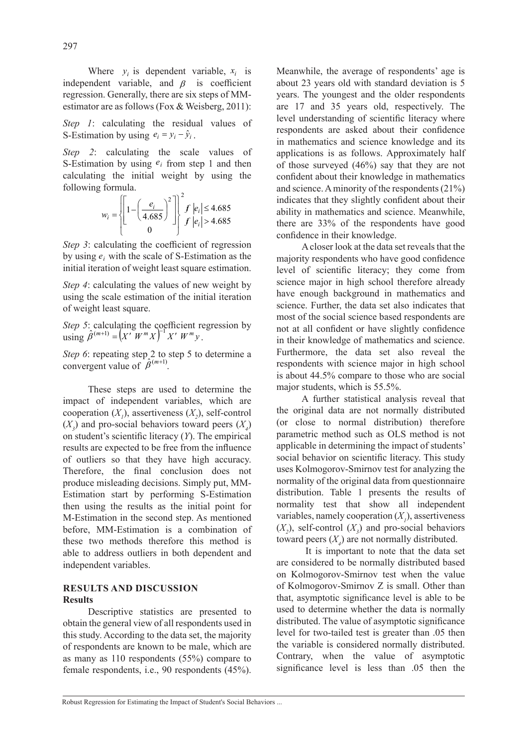Where  $y_i$  is dependent variable,  $x_i$  is independent variable, and  $\beta$  is coefficient regression. Generally, there are six steps of MMestimator are as follows (Fox & Weisberg, 2011):

*Step 1*: calculating the residual values of S-Estimation by using  $e_i = y_i - \hat{y}_i$ .

*Step 2*: calculating the scale values of S-Estimation by using  $e_i$  from step 1 and then calculating the initial weight by using the following formula.

$$
w_i = \left\{ \left[ 1 - \left( \frac{e_i}{4.685} \right)^2 \right] \right\}^2 f \left| e_i \right| \le 4.685
$$
  
0  
 $f \left| e_i \right| > 4.685$ 

*Step 3*: calculating the coefficient of regression by using  $e_i$  with the scale of S-Estimation as the initial iteration of weight least square estimation.

*Step 4*: calculating the values of new weight by using the scale estimation of the initial iteration of weight least square.

*Step 5*: calculating the coefficient regression by  $\lim_{M \to \infty} \hat{\beta}^{(m+1)} = (X' W^m X)^{-1} X' W^m y$ .

*Step 6*: repeating step 2 to step 5 to determine a convergent value of  $\hat{\beta}^{(m+1)}$ .

These steps are used to determine the impact of independent variables, which are cooperation  $(X_1)$ , assertiveness  $(X_2)$ , self-control  $(X_3)$  and pro-social behaviors toward peers  $(X_4)$ on student's scientific literacy (*Y*). The empirical results are expected to be free from the influence of outliers so that they have high accuracy. Therefore, the final conclusion does not produce misleading decisions. Simply put, MM-Estimation start by performing S-Estimation then using the results as the initial point for M-Estimation in the second step. As mentioned before, MM-Estimation is a combination of these two methods therefore this method is able to address outliers in both dependent and independent variables.

### **RESULTS AND DISCUSSION Results**

Descriptive statistics are presented to obtain the general view of all respondents used in this study. According to the data set, the majority of respondents are known to be male, which are as many as 110 respondents (55%) compare to female respondents, i.e., 90 respondents (45%). Meanwhile, the average of respondents' age is about 23 years old with standard deviation is 5 years. The youngest and the older respondents are 17 and 35 years old, respectively. The level understanding of scientific literacy where respondents are asked about their confidence in mathematics and science knowledge and its applications is as follows. Approximately half of those surveyed (46%) say that they are not confident about their knowledge in mathematics and science. A minority of the respondents (21%) indicates that they slightly confident about their ability in mathematics and science. Meanwhile, there are 33% of the respondents have good confidence in their knowledge.

A closer look at the data set reveals that the majority respondents who have good confidence level of scientific literacy; they come from science major in high school therefore already have enough background in mathematics and science. Further, the data set also indicates that most of the social science based respondents are not at all confident or have slightly confidence in their knowledge of mathematics and science. Furthermore, the data set also reveal the respondents with science major in high school is about 44.5% compare to those who are social major students, which is 55.5%.

A further statistical analysis reveal that the original data are not normally distributed (or close to normal distribution) therefore parametric method such as OLS method is not applicable in determining the impact of students' social behavior on scientific literacy. This study uses Kolmogorov-Smirnov test for analyzing the normality of the original data from questionnaire distribution. Table 1 presents the results of normality test that show all independent variables, namely cooperation  $(X<sub>1</sub>)$ , assertiveness  $(X_2)$ , self-control  $(X_3)$  and pro-social behaviors toward peers  $(X_4)$  are not normally distributed.

 It is important to note that the data set are considered to be normally distributed based on Kolmogorov-Smirnov test when the value of Kolmogorov-Smirnov Z is small. Other than that, asymptotic significance level is able to be used to determine whether the data is normally distributed. The value of asymptotic significance level for two-tailed test is greater than .05 then the variable is considered normally distributed. Contrary, when the value of asymptotic significance level is less than .05 then the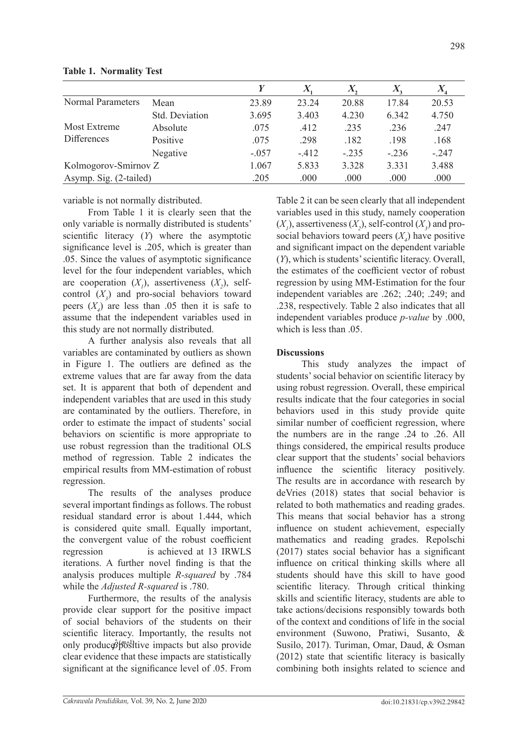| Cakrawala Pendidikan, Vol. 39, No. 2, June 2020 | doi:10.21831/cp.v39i2.29842 |
|-------------------------------------------------|-----------------------------|
|                                                 |                             |

|                                    |                |         | A      |         | $\Lambda_{\scriptscriptstyle 2}$ | $\mathbf{A}_4$ |
|------------------------------------|----------------|---------|--------|---------|----------------------------------|----------------|
| <b>Normal Parameters</b>           | Mean           | 23.89   | 23.24  | 20.88   | 17.84                            | 20.53          |
|                                    | Std. Deviation | 3.695   | 3.403  | 4.230   | 6.342                            | 4.750          |
| Most Extreme<br><b>Differences</b> | Absolute       | .075    | .412   | .235    | .236                             | .247           |
|                                    | Positive       | .075    | .298   | .182    | .198                             | .168           |
|                                    | Negative       | $-.057$ | $-412$ | $-.235$ | $-.236$                          | $-.247$        |
| Kolmogorov-Smirnov Z               |                | 1.067   | 5.833  | 3.328   | 3.331                            | 3.488          |
| Asymp. Sig. (2-tailed)             |                | .205    | .000   | .000    | .000                             | .000           |
|                                    |                |         |        |         |                                  |                |

**Table 1. Normality Test**

variable is not normally distributed.

From Table 1 it is clearly seen that the only variable is normally distributed is students' scientific literacy (*Y*) where the asymptotic significance level is .205, which is greater than .05. Since the values of asymptotic significance level for the four independent variables, which are cooperation  $(X_1)$ , assertiveness  $(X_2)$ , selfcontrol  $(X_3)$  and pro-social behaviors toward peers  $(X_4)$  are less than .05 then it is safe to assume that the independent variables used in this study are not normally distributed.

A further analysis also reveals that all variables are contaminated by outliers as shown in Figure 1. The outliers are defined as the extreme values that are far away from the data set. It is apparent that both of dependent and independent variables that are used in this study are contaminated by the outliers. Therefore, in order to estimate the impact of students' social behaviors on scientific is more appropriate to use robust regression than the traditional OLS method of regression. Table 2 indicates the empirical results from MM-estimation of robust regression.

The results of the analyses produce several important findings as follows. The robust residual standard error is about 1.444, which is considered quite small. Equally important, the convergent value of the robust coefficient regression is achieved at 13 IRWLS iterations. A further novel finding is that the analysis produces multiple *R-squared* by .784 while the *Adjusted R-squared* is .780.

Furthermore, the results of the analysis provide clear support for the positive impact of social behaviors of the students on their scientific literacy. Importantly, the results not only producφθ <sup>β</sup>ösltive impacts but also provide clear evidence that these impacts are statistically significant at the significance level of .05. From

Table 2 it can be seen clearly that all independent variables used in this study, namely cooperation  $(X_1)$ , assertiveness  $(X_2)$ , self-control  $(X_3)$  and prosocial behaviors toward peers  $(X_4)$  have positive and significant impact on the dependent variable (*Y*), which is students' scientific literacy. Overall, the estimates of the coefficient vector of robust regression by using MM-Estimation for the four independent variables are .262; .240; .249; and .238, respectively. Table 2 also indicates that all independent variables produce *p-value* by .000, which is less than  $.05$ .

# **Discussions**

This study analyzes the impact of students' social behavior on scientific literacy by using robust regression. Overall, these empirical results indicate that the four categories in social behaviors used in this study provide quite similar number of coefficient regression, where the numbers are in the range .24 to .26. All things considered, the empirical results produce clear support that the students' social behaviors influence the scientific literacy positively. The results are in accordance with research by deVries (2018) states that social behavior is related to both mathematics and reading grades. This means that social behavior has a strong influence on student achievement, especially mathematics and reading grades. Repolschi (2017) states social behavior has a significant influence on critical thinking skills where all students should have this skill to have good scientific literacy. Through critical thinking skills and scientific literacy, students are able to take actions/decisions responsibly towards both of the context and conditions of life in the social environment (Suwono, Pratiwi, Susanto, & Susilo, 2017). Turiman, Omar, Daud, & Osman (2012) state that scientific literacy is basically combining both insights related to science and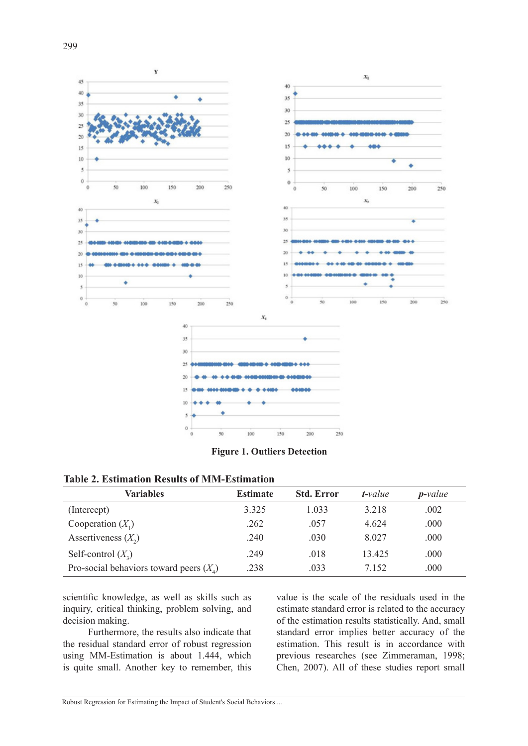

**Figure 1. Outliers Detection**

| <b>Table 2. Estimation Results of MM-Estimation</b> |  |  |
|-----------------------------------------------------|--|--|
|-----------------------------------------------------|--|--|

| <b>Variables</b>                          | <b>Estimate</b> | <b>Std. Error</b> | $t$ -value | $p$ -value |
|-------------------------------------------|-----------------|-------------------|------------|------------|
| (Intercept)                               | 3.325           | 1.033             | 3.218      | .002       |
| Cooperation $(X_1)$                       | .262            | .057              | 4.624      | .000       |
| Assertiveness $(X_2)$                     | .240            | .030              | 8.027      | .000       |
| Self-control $(X_2)$                      | .249            | .018              | 13.425     | .000       |
| Pro-social behaviors toward peers $(X_4)$ | .238            | .033              | 7.152      | .000       |

scientific knowledge, as well as skills such as inquiry, critical thinking, problem solving, and decision making.

Furthermore, the results also indicate that the residual standard error of robust regression using MM-Estimation is about 1.444, which is quite small. Another key to remember, this value is the scale of the residuals used in the estimate standard error is related to the accuracy of the estimation results statistically. And, small standard error implies better accuracy of the estimation. This result is in accordance with previous researches (see Zimmeraman, 1998; Chen, 2007). All of these studies report small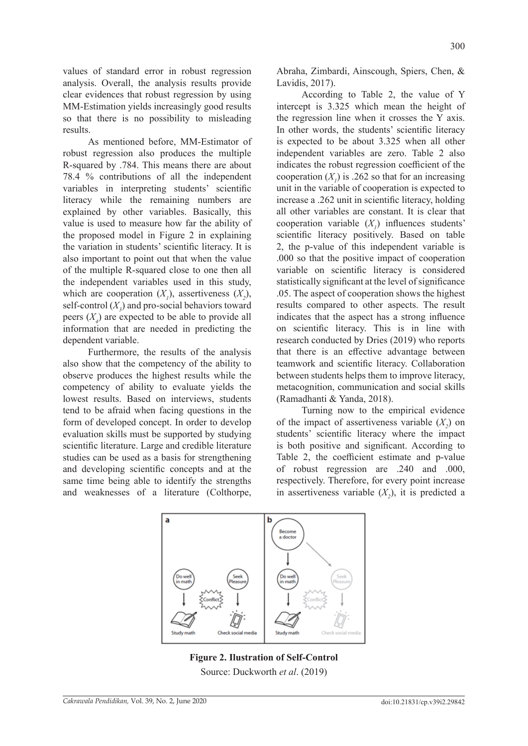values of standard error in robust regression analysis. Overall, the analysis results provide clear evidences that robust regression by using MM-Estimation yields increasingly good results so that there is no possibility to misleading results.

As mentioned before, MM-Estimator of robust regression also produces the multiple R-squared by .784. This means there are about 78.4 % contributions of all the independent variables in interpreting students' scientific literacy while the remaining numbers are explained by other variables. Basically, this value is used to measure how far the ability of the proposed model in Figure 2 in explaining the variation in students' scientific literacy. It is also important to point out that when the value of the multiple R-squared close to one then all the independent variables used in this study, which are cooperation  $(X_1)$ , assertiveness  $(X_2)$ , self-control  $(X_3)$  and pro-social behaviors toward peers (*X4* ) are expected to be able to provide all information that are needed in predicting the dependent variable.

Furthermore, the results of the analysis also show that the competency of the ability to observe produces the highest results while the competency of ability to evaluate yields the lowest results. Based on interviews, students tend to be afraid when facing questions in the form of developed concept. In order to develop evaluation skills must be supported by studying scientific literature. Large and credible literature studies can be used as a basis for strengthening and developing scientific concepts and at the same time being able to identify the strengths and weaknesses of a literature (Colthorpe, Abraha, Zimbardi, Ainscough, Spiers, Chen, & Lavidis, 2017).

According to Table 2, the value of Y intercept is 3.325 which mean the height of the regression line when it crosses the Y axis. In other words, the students' scientific literacy is expected to be about 3.325 when all other independent variables are zero. Table 2 also indicates the robust regression coefficient of the cooperation  $(X<sub>1</sub>)$  is .262 so that for an increasing unit in the variable of cooperation is expected to increase a .262 unit in scientific literacy, holding all other variables are constant. It is clear that cooperation variable  $(X<sub>1</sub>)$  influences students' scientific literacy positively. Based on table 2, the p-value of this independent variable is .000 so that the positive impact of cooperation variable on scientific literacy is considered statistically significant at the level of significance .05. The aspect of cooperation shows the highest results compared to other aspects. The result indicates that the aspect has a strong influence on scientific literacy. This is in line with research conducted by Dries (2019) who reports that there is an effective advantage between teamwork and scientific literacy. Collaboration between students helps them to improve literacy, metacognition, communication and social skills (Ramadhanti & Yanda, 2018).

Turning now to the empirical evidence of the impact of assertiveness variable  $(X_2)$  on students' scientific literacy where the impact is both positive and significant. According to Table 2, the coefficient estimate and p-value of robust regression are .240 and .000, respectively. Therefore, for every point increase in assertiveness variable  $(X_2)$ , it is predicted a



**Figure 2. Ilustration of Self-Control** Source: Duckworth *et al*. (2019)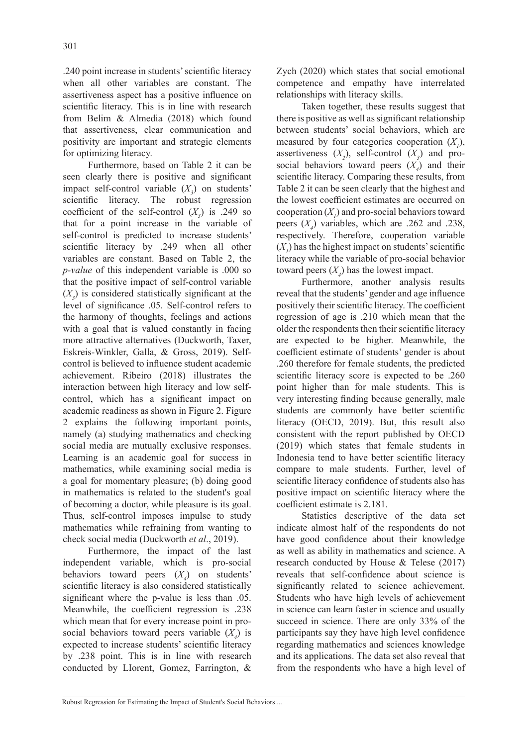.240 point increase in students' scientific literacy when all other variables are constant. The assertiveness aspect has a positive influence on scientific literacy. This is in line with research from Belim & Almedia (2018) which found that assertiveness, clear communication and positivity are important and strategic elements for optimizing literacy.

Furthermore, based on Table 2 it can be seen clearly there is positive and significant impact self-control variable  $(X_3)$  on students' scientific literacy. The robust regression coefficient of the self-control  $(X_3)$  is .249 so that for a point increase in the variable of self-control is predicted to increase students' scientific literacy by .249 when all other variables are constant. Based on Table 2, the *p-value* of this independent variable is .000 so that the positive impact of self-control variable  $(X_3)$  is considered statistically significant at the level of significance .05. Self-control refers to the harmony of thoughts, feelings and actions with a goal that is valued constantly in facing more attractive alternatives (Duckworth, Taxer, Eskreis-Winkler, Galla, & Gross, 2019). Selfcontrol is believed to influence student academic achievement. Ribeiro (2018) illustrates the interaction between high literacy and low selfcontrol, which has a significant impact on academic readiness as shown in Figure 2. Figure 2 explains the following important points, namely (a) studying mathematics and checking social media are mutually exclusive responses. Learning is an academic goal for success in mathematics, while examining social media is a goal for momentary pleasure; (b) doing good in mathematics is related to the student's goal of becoming a doctor, while pleasure is its goal. Thus, self-control imposes impulse to study mathematics while refraining from wanting to check social media (Duckworth *et al*., 2019).

Furthermore, the impact of the last independent variable, which is pro-social behaviors toward peers  $(X_4)$  on students' scientific literacy is also considered statistically significant where the p-value is less than .05. Meanwhile, the coefficient regression is .238 which mean that for every increase point in prosocial behaviors toward peers variable  $(X_4)$  is expected to increase students' scientific literacy by .238 point. This is in line with research conducted by LIorent, Gomez, Farrington, &

Zych (2020) which states that social emotional competence and empathy have interrelated relationships with literacy skills.

Taken together, these results suggest that there is positive as well as significant relationship between students' social behaviors, which are measured by four categories cooperation  $(X<sub>1</sub>)$ , assertiveness  $(X_2)$ , self-control  $(X_3)$  and prosocial behaviors toward peers  $(X_4)$  and their scientific literacy. Comparing these results, from Table 2 it can be seen clearly that the highest and the lowest coefficient estimates are occurred on cooperation  $(X<sub>1</sub>)$  and pro-social behaviors toward peers  $(X_4)$  variables, which are .262 and .238, respectively. Therefore, cooperation variable  $(X<sub>1</sub>)$  has the highest impact on students' scientific literacy while the variable of pro-social behavior toward peers  $(X_4)$  has the lowest impact.

Furthermore, another analysis results reveal that the students' gender and age influence positively their scientific literacy. The coefficient regression of age is .210 which mean that the older the respondents then their scientific literacy are expected to be higher. Meanwhile, the coefficient estimate of students' gender is about .260 therefore for female students, the predicted scientific literacy score is expected to be .260 point higher than for male students. This is very interesting finding because generally, male students are commonly have better scientific literacy (OECD, 2019). But, this result also consistent with the report published by OECD (2019) which states that female students in Indonesia tend to have better scientific literacy compare to male students. Further, level of scientific literacy confidence of students also has positive impact on scientific literacy where the coefficient estimate is 2.181.

Statistics descriptive of the data set indicate almost half of the respondents do not have good confidence about their knowledge as well as ability in mathematics and science. A research conducted by House & Telese (2017) reveals that self-confidence about science is significantly related to science achievement. Students who have high levels of achievement in science can learn faster in science and usually succeed in science. There are only 33% of the participants say they have high level confidence regarding mathematics and sciences knowledge and its applications. The data set also reveal that from the respondents who have a high level of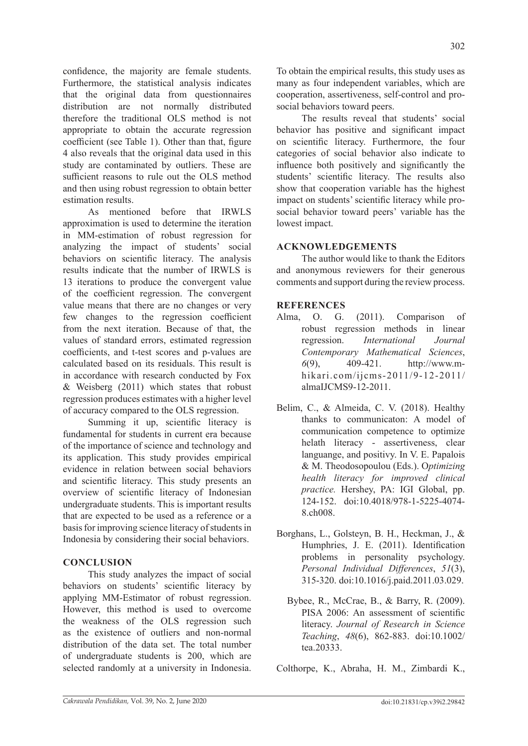confidence, the majority are female students. Furthermore, the statistical analysis indicates that the original data from questionnaires distribution are not normally distributed therefore the traditional OLS method is not appropriate to obtain the accurate regression coefficient (see Table 1). Other than that, figure 4 also reveals that the original data used in this study are contaminated by outliers. These are sufficient reasons to rule out the OLS method and then using robust regression to obtain better estimation results.

As mentioned before that IRWLS approximation is used to determine the iteration in MM-estimation of robust regression for analyzing the impact of students' social behaviors on scientific literacy. The analysis results indicate that the number of IRWLS is 13 iterations to produce the convergent value of the coefficient regression. The convergent value means that there are no changes or very few changes to the regression coefficient from the next iteration. Because of that, the values of standard errors, estimated regression coefficients, and t-test scores and p-values are calculated based on its residuals. This result is in accordance with research conducted by Fox & Weisberg (2011) which states that robust regression produces estimates with a higher level of accuracy compared to the OLS regression.

Summing it up, scientific literacy is fundamental for students in current era because of the importance of science and technology and its application. This study provides empirical evidence in relation between social behaviors and scientific literacy. This study presents an overview of scientific literacy of Indonesian undergraduate students. This is important results that are expected to be used as a reference or a basis for improving science literacy of students in Indonesia by considering their social behaviors.

# **CONCLUSION**

This study analyzes the impact of social behaviors on students' scientific literacy by applying MM-Estimator of robust regression. However, this method is used to overcome the weakness of the OLS regression such as the existence of outliers and non-normal distribution of the data set. The total number of undergraduate students is 200, which are selected randomly at a university in Indonesia. To obtain the empirical results, this study uses as many as four independent variables, which are cooperation, assertiveness, self-control and prosocial behaviors toward peers.

The results reveal that students' social behavior has positive and significant impact on scientific literacy. Furthermore, the four categories of social behavior also indicate to influence both positively and significantly the students' scientific literacy. The results also show that cooperation variable has the highest impact on students' scientific literacy while prosocial behavior toward peers' variable has the lowest impact.

# **ACKNOWLEDGEMENTS**

The author would like to thank the Editors and anonymous reviewers for their generous comments and support during the review process.

# **REFERENCES**

- Alma, O. G. (2011). Comparison of robust regression methods in linear regression. *International Journal Contemporary Mathematical Sciences*, *6*(9), 409-421. http://www.mhikari.com/ijcms-2011/9-12-2011/ almaIJCMS9-12-2011.
- Belim, C., & Almeida, C. V. (2018). Healthy thanks to communicaton: A model of communication competence to optimize helath literacy - assertiveness, clear languange, and positivy. In V. E. Papalois & M. Theodosopoulou (Eds.). O*ptimizing health literacy for improved clinical practice.* Hershey, PA: IGI Global, pp. 124-152. doi:10.4018/978-1-5225-4074- 8.ch008.
- Borghans, L., Golsteyn, B. H., Heckman, J., & Humphries, J. E. (2011). Identification problems in personality psychology. *Personal Individual Differences*, *51*(3), 315-320. doi:10.1016/j.paid.2011.03.029.
	- Bybee, R., McCrae, B., & Barry, R. (2009). PISA 2006: An assessment of scientific literacy. *Journal of Research in Science Teaching*, *48*(6), 862-883. doi:10.1002/ tea.20333.

Colthorpe, K., Abraha, H. M., Zimbardi K.,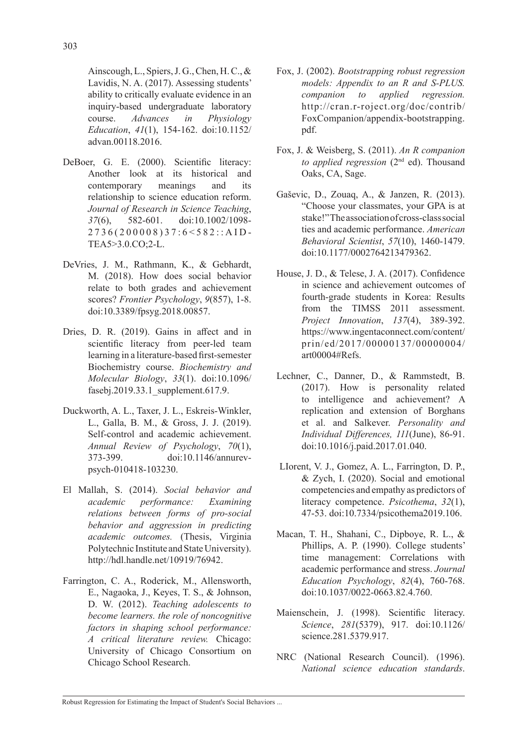advan.00118.2016.

- DeBoer, G. E. (2000). Scientific literacy: Another look at its historical and contemporary meanings and its relationship to science education reform. *Journal of Research in Science Teaching*, *37*(6), 582-601. doi:10.1002/1098- 2736(200008)37:6<582::AID-TEA5>3.0.CO;2-L.
- DeVries, J. M., Rathmann, K., & Gebhardt, M. (2018). How does social behavior relate to both grades and achievement scores? *Frontier Psychology*, *9*(857), 1-8. doi:10.3389/fpsyg.2018.00857.
- Dries, D. R. (2019). Gains in affect and in scientific literacy from peer-led team learning in a literature-based first-semester Biochemistry course. *Biochemistry and Molecular Biology*, *33*(1). doi:10.1096/ fasebj.2019.33.1\_supplement.617.9.
- Duckworth, A. L., Taxer, J. L., Eskreis-Winkler, L., Galla, B. M., & Gross, J. J. (2019). Self-control and academic achievement. *Annual Review of Psychology*, *70*(1), 373-399. doi:10.1146/annurevpsych-010418-103230.
- El Mallah, S. (2014). *Social behavior and academic performance: Examining relations between forms of pro-social behavior and aggression in predicting academic outcomes.* (Thesis, Virginia Polytechnic Institute and State University). http://hdl.handle.net/10919/76942.
- Farrington, C. A., Roderick, M., Allensworth, E., Nagaoka, J., Keyes, T. S., & Johnson, D. W. (2012). *Teaching adolescents to become learners. the role of noncognitive factors in shaping school performance: A critical literature review.* Chicago: University of Chicago Consortium on Chicago School Research.
- Fox, J. (2002). *Bootstrapping robust regression models: Appendix to an R and S-PLUS. companion to applied regression.*  http://cran.r-roject.org/doc/contrib/ FoxCompanion/appendix-bootstrapping. pdf.
- Fox, J. & Weisberg, S. (2011). *An R companion to applied regression* (2nd ed). Thousand Oaks, CA, Sage.
- Gaševic, D., Zouaq, A., & Janzen, R. (2013). "Choose your classmates, your GPA is at stake!" The association of cross-class social ties and academic performance. *American Behavioral Scientist*, *57*(10), 1460-1479. doi:10.1177/0002764213479362.
- House, J. D., & Telese, J. A. (2017). Confidence in science and achievement outcomes of fourth-grade students in Korea: Results from the TIMSS 2011 assessment. *Project Innovation*, *137*(4), 389-392. https://www.ingentaconnect.com/content/ prin/ed/2017/00000137/00000004/ art00004#Refs.
- Lechner, C., Danner, D., & Rammstedt, B. (2017). How is personality related to intelligence and achievement? A replication and extension of Borghans et al. and Salkever. *Personality and Individual Differences, 111*(June), 86-91. doi:10.1016/j.paid.2017.01.040.
- LIorent, V. J., Gomez, A. L., Farrington, D. P., & Zych, I. (2020). Social and emotional competencies and empathy as predictors of literacy competence. *Psicothema*, *32*(1), 47-53. doi:10.7334/psicothema2019.106.
- Macan, T. H., Shahani, C., Dipboye, R. L., & Phillips, A. P. (1990). College students' time management: Correlations with academic performance and stress. *Journal Education Psychology*, *82*(4), 760-768. doi:10.1037/0022-0663.82.4.760.
- Maienschein, J. (1998). Scientific literacy. *Science*, *281*(5379), 917. doi:10.1126/ science.281.5379.917.
- NRC (National Research Council). (1996). *National science education standards*.